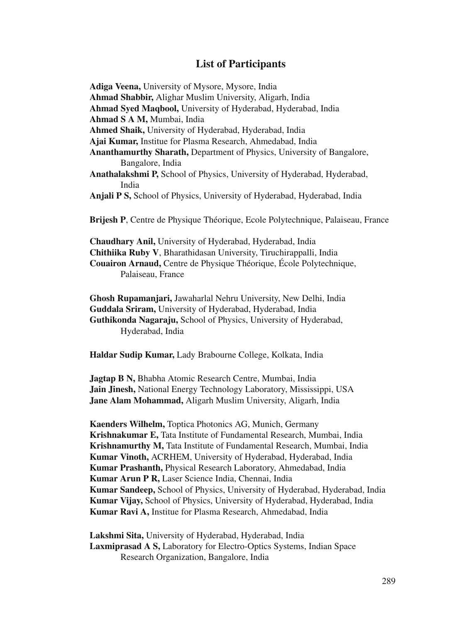## **List of Participants**

**Adiga Veena,** University of Mysore, Mysore, India **Ahmad Shabbir,** Alighar Muslim University, Aligarh, India **Ahmad Syed Maqbool,** University of Hyderabad, Hyderabad, India **Ahmad S A M,** Mumbai, India **Ahmed Shaik,** University of Hyderabad, Hyderabad, India **Ajai Kumar,** Institue for Plasma Research, Ahmedabad, India **Ananthamurthy Sharath,** Department of Physics, University of Bangalore, Bangalore, India **Anathalakshmi P,** School of Physics, University of Hyderabad, Hyderabad, India **Anjali P S,** School of Physics, University of Hyderabad, Hyderabad, India **Brijesh P**, Centre de Physique Théorique, Ecole Polytechnique, Palaiseau, France **Chaudhary Anil,** University of Hyderabad, Hyderabad, India **Chithiika Ruby V**, Bharathidasan University, Tiruchirappalli, India **Couairon Arnaud,** Centre de Physique Théorique, École Polytechnique, Palaiseau, France

**Ghosh Rupamanjari,** Jawaharlal Nehru University, New Delhi, India **Guddala Sriram,** University of Hyderabad, Hyderabad, India **Guthikonda Nagaraju,** School of Physics, University of Hyderabad, Hyderabad, India

**Haldar Sudip Kumar,** Lady Brabourne College, Kolkata, India

**Jagtap B N,** Bhabha Atomic Research Centre, Mumbai, India **Jain Jinesh,** National Energy Technology Laboratory, Mississippi, USA **Jane Alam Mohammad,** Aligarh Muslim University, Aligarh, India

**Kaenders Wilhelm,** Toptica Photonics AG, Munich, Germany **Krishnakumar E,** Tata Institute of Fundamental Research, Mumbai, India **Krishnamurthy M,** Tata Institute of Fundamental Research, Mumbai, India **Kumar Vinoth,** ACRHEM, University of Hyderabad, Hyderabad, India **Kumar Prashanth,** Physical Research Laboratory, Ahmedabad, India **Kumar Arun P R,** Laser Science India, Chennai, India **Kumar Sandeep,** School of Physics, University of Hyderabad, Hyderabad, India **Kumar Vijay,** School of Physics, University of Hyderabad, Hyderabad, India **Kumar Ravi A,** Institue for Plasma Research, Ahmedabad, India

**Lakshmi Sita,** University of Hyderabad, Hyderabad, India **Laxmiprasad A S,** Laboratory for Electro-Optics Systems, Indian Space Research Organization, Bangalore, India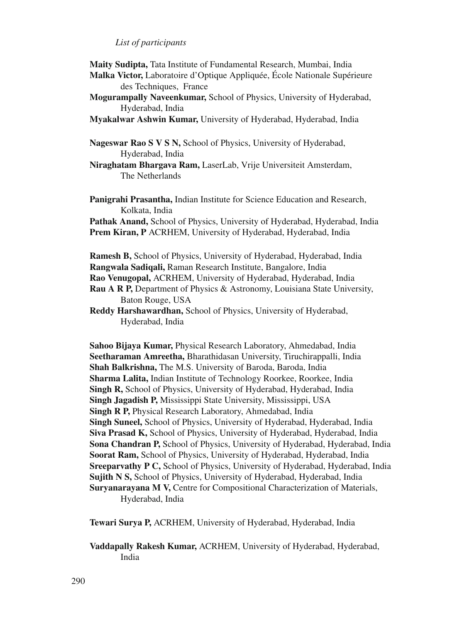## *List of participants*

**Maity Sudipta,** Tata Institute of Fundamental Research, Mumbai, India

- **Malka Victor,** Laboratoire d'Optique Appliquée, École Nationale Supérieure des Techniques, France
- **Mogurampally Naveenkumar,** School of Physics, University of Hyderabad, Hyderabad, India
- **Myakalwar Ashwin Kumar,** University of Hyderabad, Hyderabad, India

**Nageswar Rao S V S N,** School of Physics, University of Hyderabad, Hyderabad, India

- **Niraghatam Bhargava Ram,** LaserLab, Vrije Universiteit Amsterdam, The Netherlands
- **Panigrahi Prasantha,** Indian Institute for Science Education and Research, Kolkata, India

**Pathak Anand,** School of Physics, University of Hyderabad, Hyderabad, India **Prem Kiran, P** ACRHEM, University of Hyderabad, Hyderabad, India

**Ramesh B,** School of Physics, University of Hyderabad, Hyderabad, India **Rangwala Sadiqali,** Raman Research Institute, Bangalore, India **Rao Venugopal,** ACRHEM, University of Hyderabad, Hyderabad, India

**Rau A R P,** Department of Physics & Astronomy, Louisiana State University, Baton Rouge, USA

**Reddy Harshawardhan,** School of Physics, University of Hyderabad, Hyderabad, India

**Sahoo Bijaya Kumar,** Physical Research Laboratory, Ahmedabad, India **Seetharaman Amreetha,** Bharathidasan University, Tiruchirappalli, India **Shah Balkrishna,** The M.S. University of Baroda, Baroda, India **Sharma Lalita,** Indian Institute of Technology Roorkee, Roorkee, India **Singh R,** School of Physics, University of Hyderabad, Hyderabad, India **Singh Jagadish P,** Mississippi State University, Mississippi, USA **Singh R P,** Physical Research Laboratory, Ahmedabad, India **Singh Suneel,** School of Physics, University of Hyderabad, Hyderabad, India **Siva Prasad K,** School of Physics, University of Hyderabad, Hyderabad, India **Sona Chandran P,** School of Physics, University of Hyderabad, Hyderabad, India **Soorat Ram,** School of Physics, University of Hyderabad, Hyderabad, India **Sreeparvathy P C,** School of Physics, University of Hyderabad, Hyderabad, India **Sujith N S,** School of Physics, University of Hyderabad, Hyderabad, India **Suryanarayana M V,** Centre for Compositional Characterization of Materials, Hyderabad, India

**Tewari Surya P,** ACRHEM, University of Hyderabad, Hyderabad, India

**Vaddapally Rakesh Kumar,** ACRHEM, University of Hyderabad, Hyderabad, India